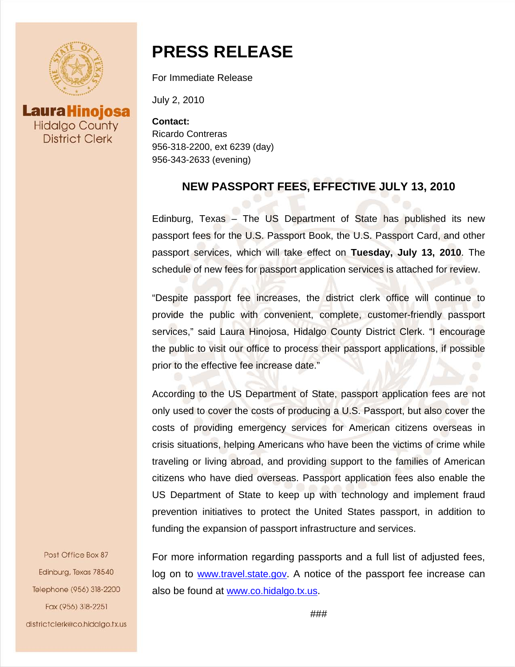

**Laura Hinojosa Hidalgo County District Clerk** 

# **PRESS RELEASE**

For Immediate Release

July 2, 2010

**Contact:** Ricardo Contreras 956-318-2200, ext 6239 (day) 956-343-2633 (evening)

### **NEW PASSPORT FEES, EFFECTIVE JULY 13, 2010**

Edinburg, Texas – The US Department of State has published its new passport fees for the U.S. Passport Book, the U.S. Passport Card, and other passport services, which will take effect on **Tuesday, July 13, 2010**. The schedule of new fees for passport application services is attached for review.

"Despite passport fee increases, the district clerk office will continue to provide the public with convenient, complete, customer-friendly passport services," said Laura Hinojosa, Hidalgo County District Clerk. "I encourage the public to visit our office to process their passport applications, if possible prior to the effective fee increase date."

According to the US Department of State, passport application fees are not only used to cover the costs of producing a U.S. Passport, but also cover the costs of providing emergency services for American citizens overseas in crisis situations, helping Americans who have been the victims of crime while traveling or living abroad, and providing support to the families of American citizens who have died overseas. Passport application fees also enable the US Department of State to keep up with technology and implement fraud prevention initiatives to protect the United States passport, in addition to funding the expansion of passport infrastructure and services.

For more information regarding passports and a full list of adjusted fees, log on to [www.travel.state.gov.](http://www.travel.state.gov/) A notice of the passport fee increase can also be found at [www.co.hidalgo.tx.us.](http://www.co.hidalgo.tx.us/)

Post Office Box 87 Edinburg, Texas 78540 Telephone (956) 318-2200 Fax (956) 318-2251 districtclerk@co.hidalgo.tx.us